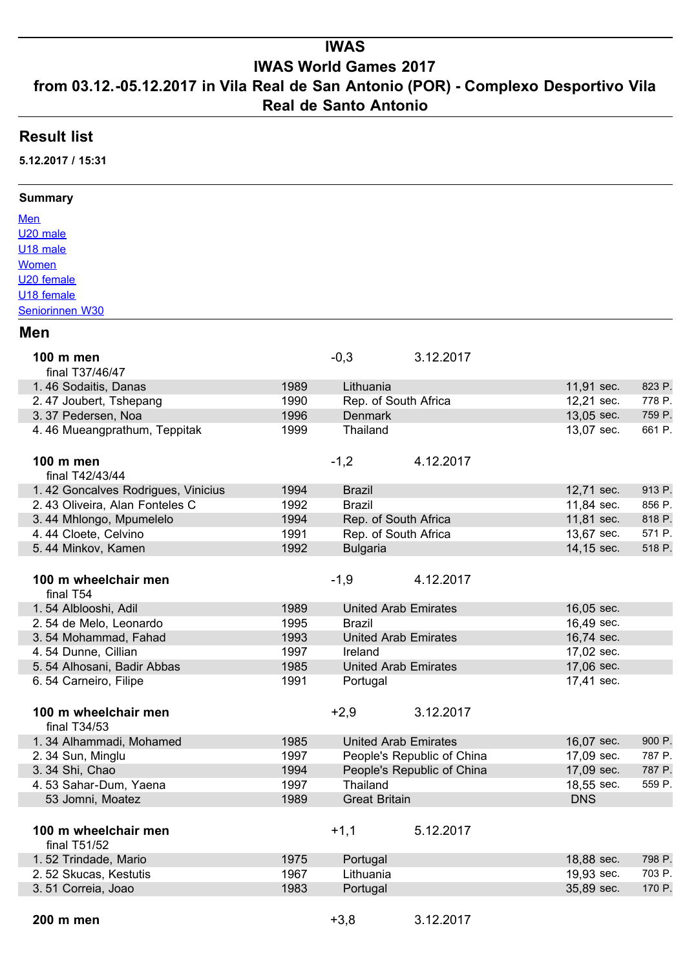# **IWAS**

## **IWAS World Games 2017**

### **from 03.12.-05.12.2017 in Vila Real de San Antonio (POR) - Complexo Desportivo Vila Real de Santo Antonio**

### **Result list**

**5.12.2017 / 15:31**

#### **Summary**

[Men](https://team-thomas.org/_erg17/IWAS/IWAS%20WG%202017.htm#Men) [U20 male](https://team-thomas.org/_erg17/IWAS/IWAS%20WG%202017.htm#U20-male) [U18 male](https://team-thomas.org/_erg17/IWAS/IWAS%20WG%202017.htm#U18-male) **[Women](https://team-thomas.org/_erg17/IWAS/IWAS%20WG%202017.htm#Women)** [U20 female](https://team-thomas.org/_erg17/IWAS/IWAS%20WG%202017.htm#U20-female) [U18 female](https://team-thomas.org/_erg17/IWAS/IWAS%20WG%202017.htm#U18-female) [Seniorinnen W30](https://team-thomas.org/_erg17/IWAS/IWAS%20WG%202017.htm#Seniorinnen-W30)

#### **Men**

| 100 m men<br>final T37/46/47         |      | $-0,3$                      | 3.12.2017                  |            |        |
|--------------------------------------|------|-----------------------------|----------------------------|------------|--------|
| 1.46 Sodaitis, Danas                 | 1989 | Lithuania                   |                            | 11,91 sec. | 823 P. |
| 2.47 Joubert, Tshepang               | 1990 | Rep. of South Africa        |                            | 12,21 sec. | 778 P. |
| 3.37 Pedersen, Noa                   | 1996 | <b>Denmark</b>              |                            | 13,05 sec. | 759 P. |
| 4.46 Mueangprathum, Teppitak         | 1999 | Thailand                    |                            | 13,07 sec. | 661 P. |
| 100 m men                            |      | $-1,2$                      | 4.12.2017                  |            |        |
| final T42/43/44                      |      |                             |                            |            |        |
| 1.42 Goncalves Rodrigues, Vinicius   | 1994 | <b>Brazil</b>               |                            | 12,71 sec. | 913 P. |
| 2.43 Oliveira, Alan Fonteles C       | 1992 | <b>Brazil</b>               |                            | 11,84 sec. | 856 P. |
| 3.44 Mhlongo, Mpumelelo              | 1994 | Rep. of South Africa        |                            | 11,81 sec. | 818 P. |
| 4.44 Cloete, Celvino                 | 1991 | Rep. of South Africa        |                            | 13,67 sec. | 571 P. |
| 5.44 Minkov, Kamen                   | 1992 | <b>Bulgaria</b>             |                            | 14,15 sec. | 518 P. |
|                                      |      |                             |                            |            |        |
| 100 m wheelchair men<br>final T54    |      | $-1,9$                      | 4.12.2017                  |            |        |
| 1.54 Alblooshi, Adil                 | 1989 | <b>United Arab Emirates</b> |                            | 16,05 sec. |        |
| 2.54 de Melo, Leonardo               | 1995 | <b>Brazil</b>               |                            | 16,49 sec. |        |
| 3.54 Mohammad, Fahad                 | 1993 | <b>United Arab Emirates</b> |                            | 16,74 sec. |        |
| 4.54 Dunne, Cillian                  | 1997 | Ireland                     |                            | 17,02 sec. |        |
| 5.54 Alhosani, Badir Abbas           | 1985 | <b>United Arab Emirates</b> |                            | 17,06 sec. |        |
| 6.54 Carneiro, Filipe                | 1991 | Portugal                    |                            | 17,41 sec. |        |
|                                      |      |                             |                            |            |        |
| 100 m wheelchair men<br>final T34/53 |      | $+2,9$                      | 3.12.2017                  |            |        |
| 1.34 Alhammadi, Mohamed              | 1985 | <b>United Arab Emirates</b> |                            | 16,07 sec. | 900 P. |
| 2.34 Sun, Minglu                     | 1997 |                             | People's Republic of China | 17,09 sec. | 787 P. |
| 3. 34 Shi, Chao                      | 1994 |                             | People's Republic of China | 17,09 sec. | 787 P. |
| 4.53 Sahar-Dum, Yaena                | 1997 | Thailand                    |                            | 18,55 sec. | 559 P. |
| 53 Jomni, Moatez                     | 1989 | <b>Great Britain</b>        |                            | <b>DNS</b> |        |
|                                      |      |                             |                            |            |        |
| 100 m wheelchair men<br>final T51/52 |      | $+1,1$                      | 5.12.2017                  |            |        |
| 1.52 Trindade, Mario                 | 1975 | Portugal                    |                            | 18,88 sec. | 798 P. |
| 2.52 Skucas, Kestutis                | 1967 | Lithuania                   |                            | 19,93 sec. | 703 P. |
| 3.51 Correia, Joao                   | 1983 | Portugal                    |                            | 35,89 sec. | 170 P. |
|                                      |      |                             |                            |            |        |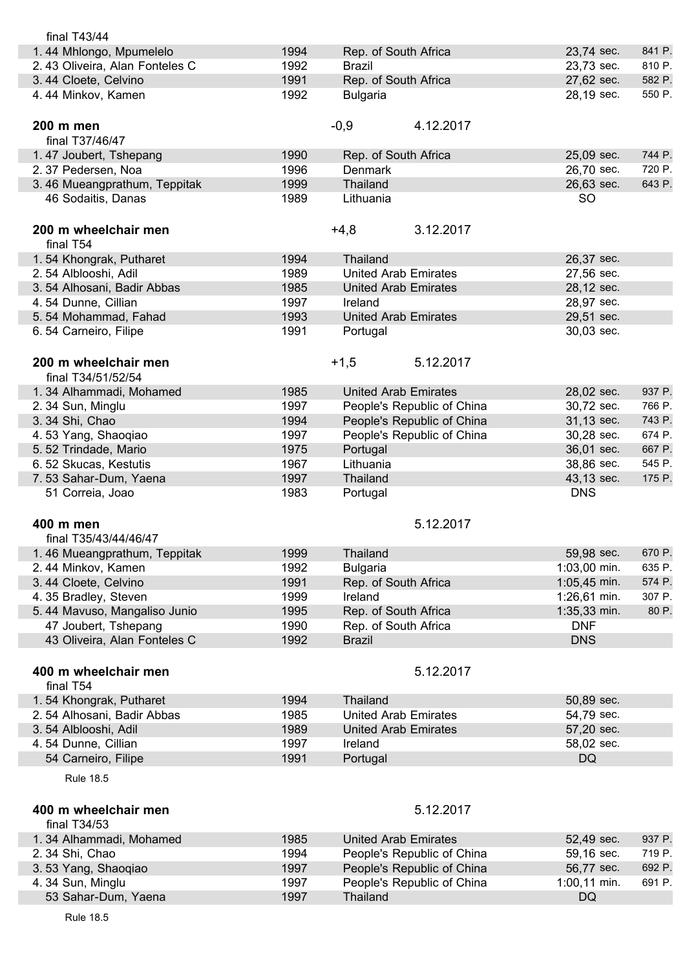| final $T43/44$                             |      |                             |                |        |
|--------------------------------------------|------|-----------------------------|----------------|--------|
| 1.44 Mhlongo, Mpumelelo                    | 1994 | Rep. of South Africa        | 23,74 sec.     | 841 P. |
| 2.43 Oliveira, Alan Fonteles C             | 1992 | <b>Brazil</b>               | 23,73 sec.     | 810 P. |
| 3.44 Cloete, Celvino                       | 1991 | Rep. of South Africa        | 27,62 sec.     | 582 P. |
| 4.44 Minkov, Kamen                         | 1992 | <b>Bulgaria</b>             | 28,19 sec.     | 550 P. |
| 200 m men                                  |      | $-0,9$<br>4.12.2017         |                |        |
| final T37/46/47                            |      |                             |                |        |
| 1.47 Joubert, Tshepang                     | 1990 | Rep. of South Africa        | 25,09 sec.     | 744 P. |
| 2.37 Pedersen, Noa                         | 1996 | <b>Denmark</b>              | 26,70 sec.     | 720 P. |
| 3.46 Mueangprathum, Teppitak               | 1999 | Thailand                    | 26,63 sec.     | 643 P. |
| 46 Sodaitis, Danas                         | 1989 | Lithuania                   | <b>SO</b>      |        |
| 200 m wheelchair men                       |      | $+4,8$<br>3.12.2017         |                |        |
| final T54                                  |      |                             |                |        |
| 1.54 Khongrak, Putharet                    | 1994 | Thailand                    | 26,37 sec.     |        |
| 2.54 Alblooshi, Adil                       | 1989 | <b>United Arab Emirates</b> | 27,56 sec.     |        |
| 3.54 Alhosani, Badir Abbas                 | 1985 | <b>United Arab Emirates</b> | 28,12 sec.     |        |
| 4.54 Dunne, Cillian                        | 1997 | Ireland                     | 28,97 sec.     |        |
| 5.54 Mohammad, Fahad                       | 1993 | <b>United Arab Emirates</b> | 29,51 sec.     |        |
| 6.54 Carneiro, Filipe                      | 1991 | Portugal                    | 30,03 sec.     |        |
| 200 m wheelchair men<br>final T34/51/52/54 |      | $+1,5$<br>5.12.2017         |                |        |
| 1.34 Alhammadi, Mohamed                    | 1985 | <b>United Arab Emirates</b> | 28,02 sec.     | 937 P. |
| 2.34 Sun, Minglu                           | 1997 | People's Republic of China  | 30,72 sec.     | 766 P. |
| 3.34 Shi, Chao                             | 1994 | People's Republic of China  | 31,13 sec.     | 743 P. |
| 4.53 Yang, Shaoqiao                        | 1997 | People's Republic of China  | 30,28 sec.     | 674 P. |
| 5.52 Trindade, Mario                       | 1975 | Portugal                    | 36,01 sec.     | 667 P. |
| 6.52 Skucas, Kestutis                      | 1967 | Lithuania                   | 38,86 sec.     | 545 P. |
| 7.53 Sahar-Dum, Yaena                      | 1997 | Thailand                    | 43,13 sec.     | 175 P. |
| 51 Correia, Joao                           | 1983 | Portugal                    | <b>DNS</b>     |        |
| 400 m men                                  |      | 5.12.2017                   |                |        |
| final T35/43/44/46/47                      |      |                             |                |        |
| 1.46 Mueangprathum, Teppitak               | 1999 | <b>Thailand</b>             | 59,98 sec.     | 670 P. |
| 2.44 Minkov, Kamen                         | 1992 | <b>Bulgaria</b>             | $1:03,00$ min. | 635 P. |
| 3.44 Cloete, Celvino                       | 1991 | Rep. of South Africa        | 1:05,45 min.   | 574 P. |
| 4.35 Bradley, Steven                       | 1999 | Ireland                     | 1:26,61 min.   | 307 P. |
| 5.44 Mavuso, Mangaliso Junio               | 1995 | Rep. of South Africa        | 1:35,33 min.   | 80 P.  |
| 47 Joubert, Tshepang                       | 1990 | Rep. of South Africa        | <b>DNF</b>     |        |
| 43 Oliveira, Alan Fonteles C               | 1992 | <b>Brazil</b>               | <b>DNS</b>     |        |
| 400 m wheelchair men                       |      | 5.12.2017                   |                |        |
| final T54                                  |      |                             |                |        |
| 1.54 Khongrak, Putharet                    | 1994 | Thailand                    | 50,89 sec.     |        |
| 2.54 Alhosani, Badir Abbas                 | 1985 | <b>United Arab Emirates</b> | 54,79 sec.     |        |
| 3.54 Alblooshi, Adil                       | 1989 | <b>United Arab Emirates</b> | 57,20 sec.     |        |
| 4.54 Dunne, Cillian                        | 1997 | Ireland                     | 58,02 sec.     |        |
| 54 Carneiro, Filipe                        | 1991 | Portugal                    | <b>DQ</b>      |        |
| <b>Rule 18.5</b>                           |      |                             |                |        |
| 400 m wheelchair men                       |      | 5.12.2017                   |                |        |
| final T34/53                               |      |                             |                |        |
| 1.34 Alhammadi, Mohamed                    | 1985 | <b>United Arab Emirates</b> | 52,49 sec.     | 937 P. |
| 2.34 Shi, Chao                             | 1994 | People's Republic of China  | 59,16 sec.     | 719 P. |
| 3.53 Yang, Shaoqiao                        | 1997 | People's Republic of China  | 56,77 sec.     | 692 P. |
| 4.34 Sun, Minglu                           | 1997 | People's Republic of China  | 1:00,11 min.   | 691 P. |
| 53 Sahar-Dum, Yaena                        | 1997 | Thailand                    | <b>DQ</b>      |        |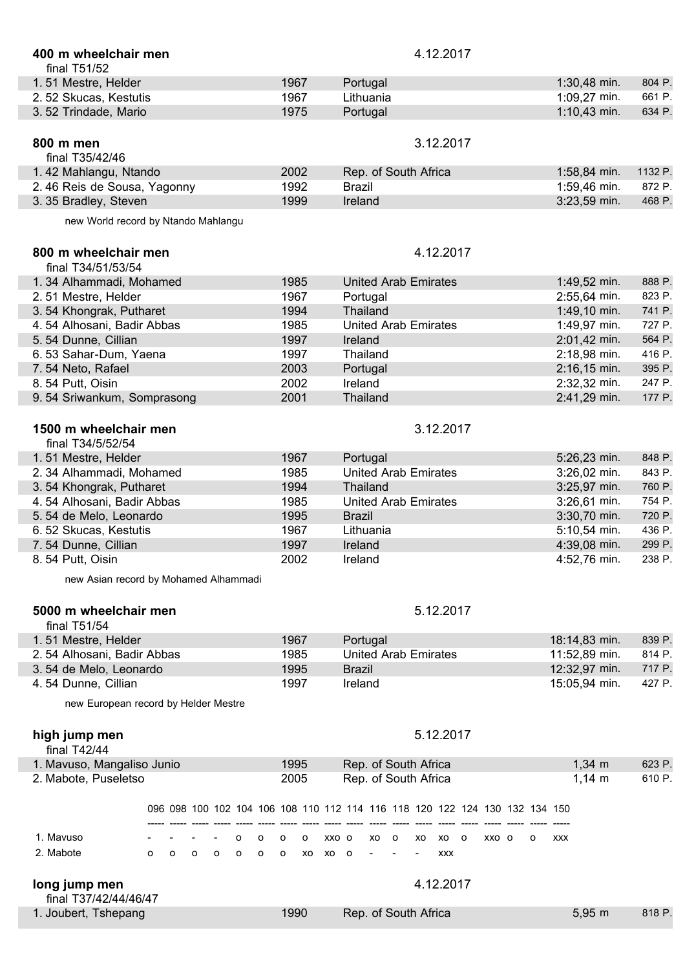| 400 m wheelchair men<br>final T51/52       |         |         |                |                |         |   |         |    |       |                                                                             |    |         | 4.12.2017 |            |      |       |   |            |             |                |         |
|--------------------------------------------|---------|---------|----------------|----------------|---------|---|---------|----|-------|-----------------------------------------------------------------------------|----|---------|-----------|------------|------|-------|---|------------|-------------|----------------|---------|
| 1.51 Mestre, Helder                        |         |         |                |                |         |   | 1967    |    |       | Portugal                                                                    |    |         |           |            |      |       |   |            |             | 1:30,48 min.   | 804 P.  |
| 2.52 Skucas, Kestutis                      |         |         |                |                |         |   | 1967    |    |       | Lithuania                                                                   |    |         |           |            |      |       |   |            |             | 1:09,27 min.   | 661 P.  |
| 3.52 Trindade, Mario                       |         |         |                |                |         |   | 1975    |    |       | Portugal                                                                    |    |         |           |            |      |       |   |            |             | $1:10,43$ min. | 634 P.  |
|                                            |         |         |                |                |         |   |         |    |       |                                                                             |    |         |           |            |      |       |   |            |             |                |         |
| 800 m men<br>final T35/42/46               |         |         |                |                |         |   |         |    |       |                                                                             |    |         | 3.12.2017 |            |      |       |   |            |             |                |         |
| 1.42 Mahlangu, Ntando                      |         |         |                |                |         |   | 2002    |    |       | Rep. of South Africa                                                        |    |         |           |            |      |       |   |            |             | 1:58,84 min.   | 1132 P. |
| 2.46 Reis de Sousa, Yagonny                |         |         |                |                |         |   | 1992    |    |       | <b>Brazil</b>                                                               |    |         |           |            |      |       |   |            |             | 1:59,46 min.   | 872 P.  |
| 3.35 Bradley, Steven                       |         |         |                |                |         |   | 1999    |    |       | Ireland                                                                     |    |         |           |            |      |       |   |            |             | 3:23,59 min.   | 468 P.  |
| new World record by Ntando Mahlangu        |         |         |                |                |         |   |         |    |       |                                                                             |    |         |           |            |      |       |   |            |             |                |         |
| 800 m wheelchair men<br>final T34/51/53/54 |         |         |                |                |         |   |         |    |       |                                                                             |    |         | 4.12.2017 |            |      |       |   |            |             |                |         |
| 1.34 Alhammadi, Mohamed                    |         |         |                |                |         |   | 1985    |    |       | <b>United Arab Emirates</b>                                                 |    |         |           |            |      |       |   |            |             | 1:49,52 min.   | 888 P.  |
| 2.51 Mestre, Helder                        |         |         |                |                |         |   | 1967    |    |       | Portugal                                                                    |    |         |           |            |      |       |   |            |             | 2:55,64 min.   | 823 P.  |
| 3.54 Khongrak, Putharet                    |         |         |                |                |         |   | 1994    |    |       | <b>Thailand</b>                                                             |    |         |           |            |      |       |   |            |             | 1:49,10 min.   | 741 P.  |
| 4.54 Alhosani, Badir Abbas                 |         |         |                |                |         |   | 1985    |    |       | <b>United Arab Emirates</b>                                                 |    |         |           |            |      |       |   |            |             | 1:49,97 min.   | 727 P.  |
| 5.54 Dunne, Cillian                        |         |         |                |                |         |   | 1997    |    |       | Ireland                                                                     |    |         |           |            |      |       |   |            |             | 2:01,42 min.   | 564 P.  |
| 6.53 Sahar-Dum, Yaena                      |         |         |                |                |         |   | 1997    |    |       | Thailand                                                                    |    |         |           |            |      |       |   |            |             | 2:18,98 min.   | 416 P.  |
| 7.54 Neto, Rafael                          |         |         |                |                |         |   | 2003    |    |       | Portugal                                                                    |    |         |           |            |      |       |   |            |             | $2:16,15$ min. | 395 P.  |
| 8.54 Putt, Oisin                           |         |         |                |                |         |   | 2002    |    |       | Ireland                                                                     |    |         |           |            |      |       |   |            |             | 2:32,32 min.   | 247 P.  |
| 9.54 Sriwankum, Somprasong                 |         |         |                |                |         |   | 2001    |    |       | Thailand                                                                    |    |         |           |            |      |       |   |            |             | 2:41,29 min.   | 177 P.  |
|                                            |         |         |                |                |         |   |         |    |       |                                                                             |    |         |           |            |      |       |   |            |             |                |         |
| 1500 m wheelchair men<br>final T34/5/52/54 |         |         |                |                |         |   |         |    |       |                                                                             |    |         | 3.12.2017 |            |      |       |   |            |             |                |         |
| 1.51 Mestre, Helder                        |         |         |                |                |         |   | 1967    |    |       | Portugal                                                                    |    |         |           |            |      |       |   |            |             | 5:26,23 min.   | 848 P.  |
| 2.34 Alhammadi, Mohamed                    |         |         |                |                |         |   | 1985    |    |       | <b>United Arab Emirates</b>                                                 |    |         |           |            |      |       |   |            |             | 3:26,02 min.   | 843 P.  |
| 3.54 Khongrak, Putharet                    |         |         |                |                |         |   | 1994    |    |       | Thailand                                                                    |    |         |           |            |      |       |   |            |             | 3:25,97 min.   | 760 P.  |
| 4.54 Alhosani, Badir Abbas                 |         |         |                |                |         |   | 1985    |    |       | <b>United Arab Emirates</b>                                                 |    |         |           |            |      |       |   |            |             | 3:26,61 min.   | 754 P.  |
| 5.54 de Melo, Leonardo                     |         |         |                |                |         |   | 1995    |    |       | <b>Brazil</b>                                                               |    |         |           |            |      |       |   |            |             | 3:30,70 min.   | 720 P.  |
| 6.52 Skucas, Kestutis                      |         |         |                |                |         |   | 1967    |    |       | Lithuania                                                                   |    |         |           |            |      |       |   |            |             | 5:10,54 min.   | 436 P.  |
| 7.54 Dunne, Cillian                        |         |         |                |                |         |   | 1997    |    |       | Ireland                                                                     |    |         |           |            |      |       |   |            |             | 4:39,08 min.   | 299 P.  |
| 8.54 Putt, Oisin                           |         |         |                |                |         |   | 2002    |    |       | Ireland                                                                     |    |         |           |            |      |       |   |            |             | 4:52,76 min.   | 238 P.  |
| new Asian record by Mohamed Alhammadi      |         |         |                |                |         |   |         |    |       |                                                                             |    |         |           |            |      |       |   |            |             |                |         |
| 5000 m wheelchair men<br>final T51/54      |         |         |                |                |         |   |         |    |       |                                                                             |    |         | 5.12.2017 |            |      |       |   |            |             |                |         |
| 1.51 Mestre, Helder                        |         |         |                |                |         |   | 1967    |    |       | Portugal                                                                    |    |         |           |            |      |       |   |            |             | 18:14,83 min.  | 839 P.  |
| 2.54 Alhosani, Badir Abbas                 |         |         |                |                |         |   | 1985    |    |       | <b>United Arab Emirates</b>                                                 |    |         |           |            |      |       |   |            |             | 11:52,89 min.  | 814 P.  |
| 3.54 de Melo, Leonardo                     |         |         |                |                |         |   | 1995    |    |       | <b>Brazil</b>                                                               |    |         |           |            |      |       |   |            |             | 12:32,97 min.  | 717 P.  |
| 4.54 Dunne, Cillian                        |         |         |                |                |         |   | 1997    |    |       | Ireland                                                                     |    |         |           |            |      |       |   |            |             | 15:05,94 min.  | 427 P.  |
| new European record by Helder Mestre       |         |         |                |                |         |   |         |    |       |                                                                             |    |         |           |            |      |       |   |            |             |                |         |
| high jump men<br>final $T42/44$            |         |         |                |                |         |   |         |    |       |                                                                             |    |         | 5.12.2017 |            |      |       |   |            |             |                |         |
| 1. Mavuso, Mangaliso Junio                 |         |         |                |                |         |   | 1995    |    |       | Rep. of South Africa                                                        |    |         |           |            |      |       |   |            | $1,34 \, m$ |                | 623 P.  |
| 2. Mabote, Puseletso                       |         |         |                |                |         |   | 2005    |    |       | Rep. of South Africa                                                        |    |         |           |            |      |       |   |            | $1,14 \; m$ |                | 610 P.  |
|                                            |         |         |                |                |         |   |         |    |       | 096 098 100 102 104 106 108 110 112 114 116 118 120 122 124 130 132 134 150 |    |         |           |            |      |       |   |            |             |                |         |
| 1. Mavuso                                  |         |         |                |                |         |   |         |    |       |                                                                             |    |         |           |            |      |       |   |            |             |                |         |
|                                            |         |         |                |                | o       | о | о       | о  | XXO O |                                                                             | xo | $\circ$ | XO        |            | xo o | XXO O | о | <b>XXX</b> |             |                |         |
| 2. Mabote                                  | $\circ$ | $\circ$ | $\mathsf{o}\,$ | $\mathsf{o}\,$ | $\circ$ | o | $\circ$ | XO | XO O  |                                                                             |    |         |           | <b>XXX</b> |      |       |   |            |             |                |         |
| long jump men<br>final T37/42/44/46/47     |         |         |                |                |         |   |         |    |       |                                                                             |    |         | 4.12.2017 |            |      |       |   |            |             |                |         |
| 1. Joubert, Tshepang                       |         |         |                |                |         |   | 1990    |    |       | Rep. of South Africa                                                        |    |         |           |            |      |       |   |            | $5,95 \; m$ |                | 818 P.  |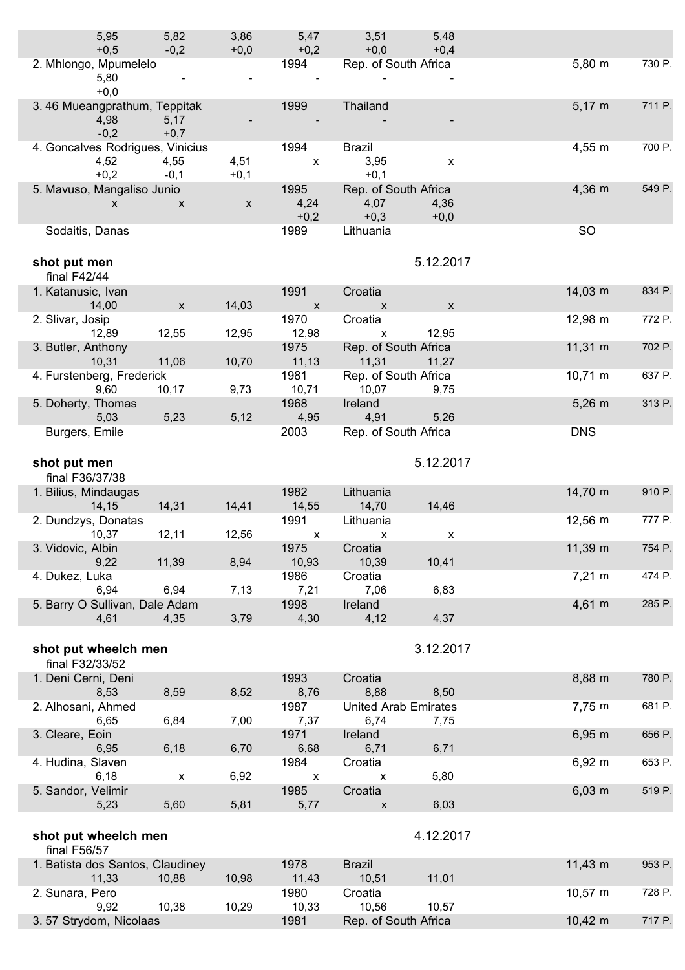| 5,95<br>$+0,5$                   | 5,82<br>$-0,2$            | 3,86<br>$+0,0$     | 5,47<br>$+0,2$             | 3,51<br>$+0,0$                | 5,48<br>$+0,4$     |                     |        |
|----------------------------------|---------------------------|--------------------|----------------------------|-------------------------------|--------------------|---------------------|--------|
| 2. Mhlongo, Mpumelelo            |                           |                    | 1994                       | Rep. of South Africa          |                    | $5,80 \; m$         | 730 P. |
| 5,80                             |                           |                    |                            |                               |                    |                     |        |
| $+0,0$                           |                           |                    |                            |                               |                    |                     |        |
| 3.46 Mueangprathum, Teppitak     |                           |                    | 1999                       | Thailand                      |                    | $5,17 \; m$         | 711 P. |
| 4,98<br>$-0,2$                   | 5,17<br>$+0,7$            |                    |                            |                               |                    |                     |        |
| 4. Goncalves Rodrigues, Vinicius |                           |                    | 1994                       | <b>Brazil</b>                 |                    | $4,55 \; m$         | 700 P. |
| 4,52                             | 4,55                      | 4,51               | $\pmb{\mathsf{X}}$         | 3,95                          | $\pmb{\chi}$       |                     |        |
| $+0,2$                           | $-0,1$                    | $+0,1$             |                            | $+0,1$                        |                    |                     |        |
| 5. Mavuso, Mangaliso Junio       |                           |                    | 1995                       | Rep. of South Africa          |                    | 4,36 m              | 549 P. |
| $\mathsf{x}$                     | $\boldsymbol{\mathsf{x}}$ | $\pmb{\mathsf{X}}$ | 4,24                       | 4,07                          | 4,36               |                     |        |
| Sodaitis, Danas                  |                           |                    | $+0,2$<br>1989             | $+0,3$<br>Lithuania           | $+0,0$             | <b>SO</b>           |        |
|                                  |                           |                    |                            |                               |                    |                     |        |
| shot put men                     |                           |                    |                            |                               | 5.12.2017          |                     |        |
| final $F42/44$                   |                           |                    |                            |                               |                    |                     |        |
| 1. Katanusic, Ivan               |                           |                    | 1991                       | Croatia                       |                    | $14,03 \; m$        | 834 P. |
| 14,00                            | $\boldsymbol{\mathsf{x}}$ | 14,03              | $\boldsymbol{\mathsf{X}}$  | $\mathsf{x}$                  | $\pmb{\mathsf{X}}$ |                     |        |
| 2. Slivar, Josip                 |                           |                    | 1970                       | Croatia                       |                    | 12,98 m             | 772 P. |
| 12,89<br>3. Butler, Anthony      | 12,55                     | 12,95              | 12,98<br>1975              | X<br>Rep. of South Africa     | 12,95              | $11,31 \text{ m}$   | 702 P. |
| 10,31                            | 11,06                     | 10,70              | 11,13                      | 11,31                         | 11,27              |                     |        |
| 4. Furstenberg, Frederick        |                           |                    | 1981                       | Rep. of South Africa          |                    | $10,71 \; m$        | 637 P. |
| 9,60                             | 10,17                     | 9,73               | 10,71                      | 10,07                         | 9,75               |                     |        |
| 5. Doherty, Thomas               |                           |                    | 1968                       | Ireland                       |                    | $5,26$ m            | 313 P. |
| 5,03<br>Burgers, Emile           | 5,23                      | 5,12               | 4,95<br>2003               | 4,91<br>Rep. of South Africa  | 5,26               | <b>DNS</b>          |        |
|                                  |                           |                    |                            |                               |                    |                     |        |
| shot put men                     |                           |                    |                            |                               | 5.12.2017          |                     |        |
| final F36/37/38                  |                           |                    |                            |                               |                    |                     |        |
| 1. Bilius, Mindaugas             |                           |                    | 1982                       | Lithuania                     |                    | 14,70 m             | 910 P. |
| 14,15                            | 14,31                     | 14,41              | 14,55                      | 14,70                         | 14,46              |                     |        |
| 2. Dundzys, Donatas<br>10,37     | 12,11                     | 12,56              | 1991                       | Lithuania                     |                    | $12,56 \, \text{m}$ | 777 P. |
| 3. Vidovic, Albin                |                           |                    | $\pmb{\mathsf{X}}$<br>1975 | $\pmb{\mathsf{X}}$<br>Croatia | $\pmb{\mathsf{x}}$ | 11,39 m             | 754 P. |
| 9,22                             | 11,39                     | 8,94               | 10,93                      | 10,39                         | 10,41              |                     |        |
| 4. Dukez, Luka                   |                           |                    | 1986                       | Croatia                       |                    | $7,21 \; m$         | 474 P. |
| 6,94                             | 6,94                      | 7,13               | 7,21                       | 7,06                          | 6,83               |                     |        |
| 5. Barry O Sullivan, Dale Adam   | 4,35                      |                    | 1998<br>4,30               | Ireland<br>4,12               | 4,37               | $4,61 \; m$         | 285 P. |
| 4,61                             |                           | 3,79               |                            |                               |                    |                     |        |
| shot put wheelch men             |                           |                    |                            |                               | 3.12.2017          |                     |        |
| final F32/33/52                  |                           |                    |                            |                               |                    |                     |        |
| 1. Deni Cerni, Deni              |                           |                    | 1993                       | Croatia                       |                    | 8,88 m              | 780 P. |
| 8,53                             | 8,59                      | 8,52               | 8,76                       | 8,88                          | 8,50               |                     |        |
| 2. Alhosani, Ahmed               |                           |                    | 1987                       | <b>United Arab Emirates</b>   |                    | 7,75 m              | 681 P. |
| 6,65<br>3. Cleare, Eoin          | 6,84                      | 7,00               | 7,37<br>1971               | 6,74<br>Ireland               | 7,75               | $6,95 \; m$         | 656 P. |
| 6,95                             | 6,18                      | 6,70               | 6,68                       | 6,71                          | 6,71               |                     |        |
| 4. Hudina, Slaven                |                           |                    | 1984                       | Croatia                       |                    | $6,92 \; m$         | 653 P. |
| 6,18                             | $\boldsymbol{\mathsf{x}}$ | 6,92               | $\pmb{\mathsf{X}}$         | X                             | 5,80               |                     |        |
| 5. Sandor, Velimir               |                           |                    | 1985                       | Croatia                       |                    | $6,03 \, m$         | 519 P. |
| 5,23                             | 5,60                      | 5,81               | 5,77                       | $\mathsf{x}$                  | 6,03               |                     |        |
| shot put wheelch men             |                           |                    |                            |                               | 4.12.2017          |                     |        |
| final F56/57                     |                           |                    |                            |                               |                    |                     |        |
| 1. Batista dos Santos, Claudiney |                           |                    | 1978                       | <b>Brazil</b>                 |                    | $11,43 \; m$        | 953 P. |
| 11,33                            | 10,88                     | 10,98              | 11,43                      | 10,51                         | 11,01              |                     |        |
| 2. Sunara, Pero                  |                           |                    | 1980                       | Croatia                       |                    | $10,57 \; m$        | 728 P. |
| 9,92<br>3.57 Strydom, Nicolaas   | 10,38                     | 10,29              | 10,33<br>1981              | 10,56<br>Rep. of South Africa | 10,57              | $10,42 \; m$        | 717 P. |
|                                  |                           |                    |                            |                               |                    |                     |        |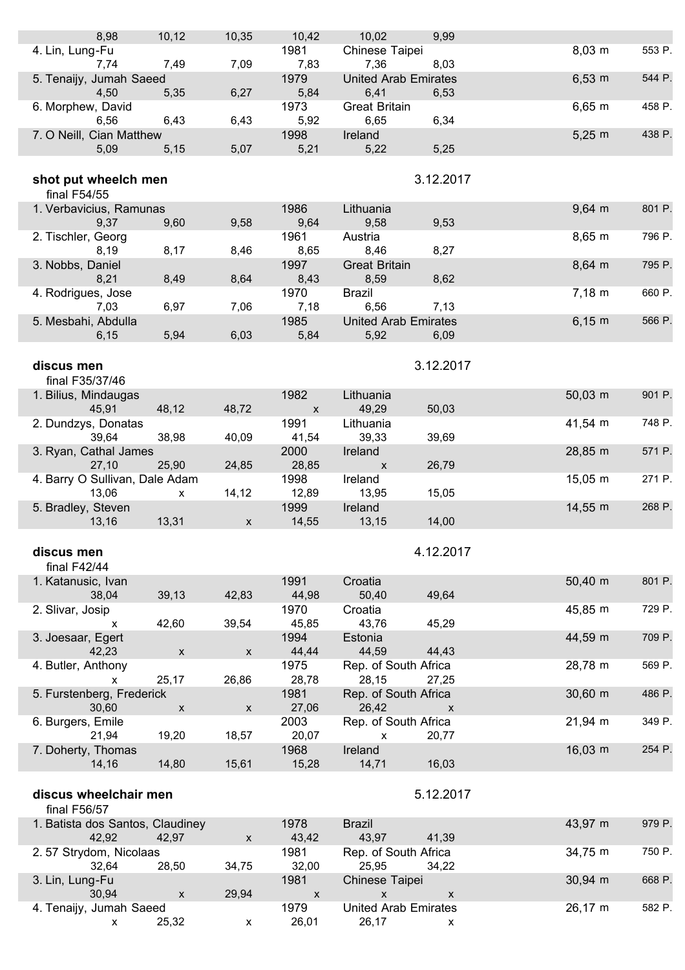| 8,98                                             | 10, 12             | 10,35              | 10,42                      | 10,02                                | 9,99                      |                     |        |
|--------------------------------------------------|--------------------|--------------------|----------------------------|--------------------------------------|---------------------------|---------------------|--------|
| 4. Lin, Lung-Fu                                  |                    |                    | 1981                       | Chinese Taipei                       |                           | $8,03 \, m$         | 553 P. |
| 7,74<br>5. Tenaijy, Jumah Saeed                  | 7,49               | 7,09               | 7,83<br>1979               | 7,36<br><b>United Arab Emirates</b>  | 8,03                      | $6,53 \; m$         | 544 P. |
| 4,50                                             | 5,35               | 6,27               | 5,84                       | 6,41                                 | 6,53                      |                     |        |
| 6. Morphew, David<br>6,56                        | 6,43               | 6,43               | 1973<br>5,92               | <b>Great Britain</b><br>6,65         | 6,34                      | $6,65 \; m$         | 458 P. |
| 7. O Neill, Cian Matthew                         |                    |                    | 1998                       | Ireland                              |                           | $5,25 \; m$         | 438 P. |
| 5,09                                             | 5,15               | 5,07               | 5,21                       | 5,22                                 | 5,25                      |                     |        |
| shot put wheelch men                             |                    |                    |                            |                                      | 3.12.2017                 |                     |        |
| final $F54/55$                                   |                    |                    |                            |                                      |                           |                     |        |
| 1. Verbavicius, Ramunas                          |                    |                    | 1986                       | Lithuania                            |                           | $9,64 \, m$         | 801 P. |
| 9,37<br>2. Tischler, Georg                       | 9,60               | 9,58               | 9,64<br>1961               | 9,58<br>Austria                      | 9,53                      | $8,65 \; m$         | 796 P. |
| 8,19                                             | 8,17               | 8,46               | 8,65                       | 8,46                                 | 8,27                      |                     |        |
| 3. Nobbs, Daniel                                 |                    |                    | 1997                       | <b>Great Britain</b>                 |                           | 8,64 m              | 795 P. |
| 8,21<br>4. Rodrigues, Jose                       | 8,49               | 8,64               | 8,43<br>1970               | 8,59<br><b>Brazil</b>                | 8,62                      | $7,18 \; m$         | 660 P. |
| 7,03                                             | 6,97               | 7,06               | 7,18                       | 6,56                                 | 7,13                      |                     |        |
| 5. Mesbahi, Abdulla                              |                    |                    | 1985                       | <b>United Arab Emirates</b>          |                           | $6,15 \; m$         | 566 P. |
| 6,15                                             | 5,94               | 6,03               | 5,84                       | 5,92                                 | 6,09                      |                     |        |
| discus men                                       |                    |                    |                            |                                      | 3.12.2017                 |                     |        |
| final F35/37/46                                  |                    |                    |                            |                                      |                           |                     |        |
| 1. Bilius, Mindaugas                             |                    |                    | 1982                       | Lithuania                            |                           | $50,03 \, \text{m}$ | 901 P. |
| 45,91<br>2. Dundzys, Donatas                     | 48,12              | 48,72              | $\pmb{\mathsf{X}}$<br>1991 | 49,29<br>Lithuania                   | 50,03                     | 41,54 m             | 748 P. |
| 39,64                                            | 38,98              | 40,09              | 41,54                      | 39,33                                | 39,69                     |                     |        |
| 3. Ryan, Cathal James<br>27,10                   | 25,90              | 24,85              | 2000<br>28,85              | Ireland<br>$\boldsymbol{\mathsf{X}}$ | 26,79                     | 28,85 m             | 571 P. |
| 4. Barry O Sullivan, Dale Adam                   |                    |                    | 1998                       | Ireland                              |                           | 15.05 m             | 271 P. |
| 13,06                                            | X                  | 14,12              | 12,89                      | 13,95                                | 15,05                     |                     |        |
| 5. Bradley, Steven<br>13,16                      | 13,31              | $\mathsf{x}$       | 1999<br>14,55              | Ireland<br>13,15                     | 14,00                     | $14,55 \; m$        | 268 P. |
|                                                  |                    |                    |                            |                                      |                           |                     |        |
| discus men                                       |                    |                    |                            |                                      | 4.12.2017                 |                     |        |
| final $F42/44$                                   |                    |                    |                            |                                      |                           |                     |        |
| 1. Katanusic, Ivan<br>38,04                      | 39,13              | 42,83              | 1991<br>44,98              | Croatia<br>50,40                     | 49,64                     | $50,40 \; m$        | 801 P. |
| 2. Slivar, Josip                                 |                    |                    | 1970                       | Croatia                              |                           | 45,85 m             | 729 P. |
| X                                                | 42,60              | 39,54              | 45,85<br>1994              | 43,76<br>Estonia                     | 45,29                     | 44,59 m             | 709 P. |
| 3. Joesaar, Egert<br>42,23                       | $\pmb{\mathsf{X}}$ | $\pmb{\mathsf{X}}$ | 44,44                      | 44,59                                | 44,43                     |                     |        |
| 4. Butler, Anthony                               |                    |                    | 1975                       | Rep. of South Africa                 |                           | 28,78 m             | 569 P. |
| x<br>5. Furstenberg, Frederick                   | 25,17              | 26,86              | 28,78<br>1981              | 28,15<br>Rep. of South Africa        | 27,25                     | $30,60 \, \text{m}$ | 486 P. |
| 30,60                                            | $\mathsf{X}$       | $\pmb{\mathsf{X}}$ | 27,06                      | 26,42                                | $\boldsymbol{\mathsf{x}}$ |                     |        |
| 6. Burgers, Emile                                |                    |                    | 2003                       | Rep. of South Africa                 |                           | $21,94 \, m$        | 349 P. |
| 21,94<br>7. Doherty, Thomas                      | 19,20              | 18,57              | 20,07<br>1968              | $\pmb{\mathsf{X}}$<br>Ireland        | 20,77                     | $16,03 \; m$        | 254 P. |
| 14,16                                            | 14,80              | 15,61              | 15,28                      | 14,71                                | 16,03                     |                     |        |
|                                                  |                    |                    |                            |                                      |                           |                     |        |
| discus wheelchair men                            |                    |                    |                            |                                      | 5.12.2017                 |                     |        |
| final F56/57<br>1. Batista dos Santos, Claudiney |                    |                    | 1978                       | <b>Brazil</b>                        |                           | 43,97 m             | 979 P. |
| 42,92                                            | 42,97              | $\mathsf X$        | 43,42                      | 43,97                                | 41,39                     |                     |        |
| 2.57 Strydom, Nicolaas<br>32,64                  | 28,50              | 34,75              | 1981<br>32,00              | Rep. of South Africa<br>25,95        | 34,22                     | 34,75 m             | 750 P. |
| 3. Lin, Lung-Fu                                  |                    |                    | 1981                       | Chinese Taipei                       |                           | $30,94 \, m$        | 668 P. |
| 30,94                                            | X                  | 29,94              | $\boldsymbol{\mathsf{X}}$  | $\boldsymbol{\mathsf{X}}$            | $\mathsf X$               |                     |        |

4. Tenaijy, Jumah Saeed 1979 United Arab Emirates 26,17 m 582 P.

x 25,32 x 26,01 26,17 x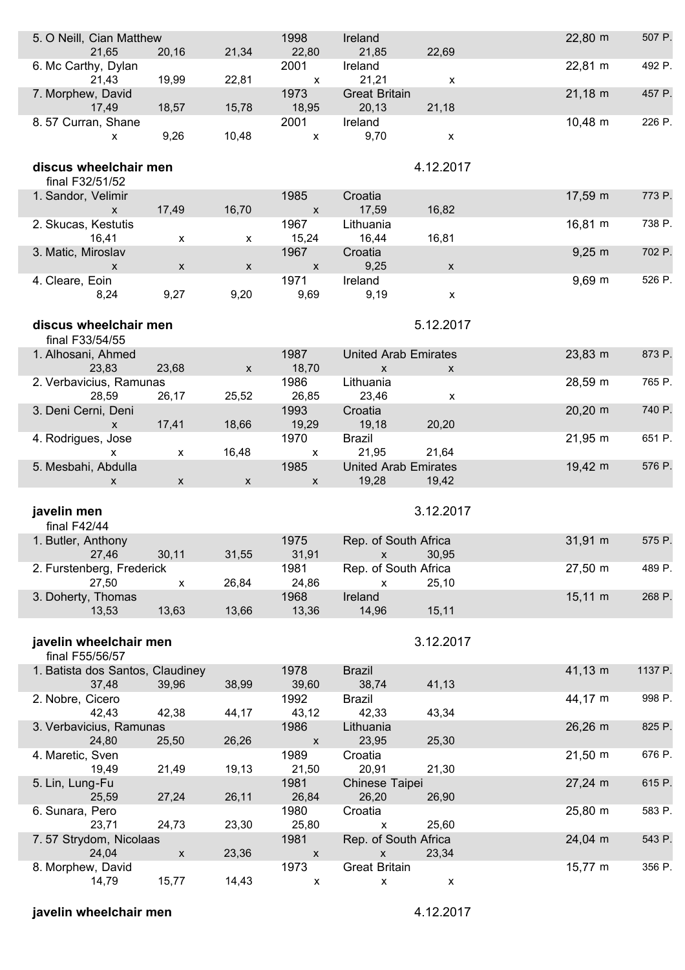| 5. O Neill, Cian Matthew<br>21,65                   | 20,16              | 21,34              | 1998<br>22,80                     | Ireland<br>21,85                           | 22,69              | 22,80 m             | 507 P.  |
|-----------------------------------------------------|--------------------|--------------------|-----------------------------------|--------------------------------------------|--------------------|---------------------|---------|
| 6. Mc Carthy, Dylan<br>21,43                        | 19,99              | 22,81              | 2001<br>$\boldsymbol{\mathsf{x}}$ | Ireland<br>21,21                           | X                  | 22,81 m             | 492 P.  |
| 7. Morphew, David<br>17,49                          | 18,57              | 15,78              | 1973<br>18,95                     | <b>Great Britain</b><br>20,13              | 21,18              | $21,18 \; m$        | 457 P.  |
| 8.57 Curran, Shane<br>X                             | 9,26               | 10,48              | 2001<br>$\mathsf{x}$              | Ireland<br>9,70                            | X                  | $10,48 \; m$        | 226 P.  |
| discus wheelchair men<br>final F32/51/52            |                    |                    |                                   |                                            | 4.12.2017          |                     |         |
| 1. Sandor, Velimir<br>$\mathsf{x}$                  | 17,49              | 16,70              | 1985<br>$\mathsf{X}$              | Croatia<br>17,59                           | 16,82              | 17,59 m             | 773 P.  |
| 2. Skucas, Kestutis<br>16,41                        | x                  | x                  | 1967<br>15,24                     | Lithuania<br>16,44                         | 16,81              | $16,81 \; m$        | 738 P.  |
| 3. Matic, Miroslav<br>$\mathsf{x}$                  | $\mathsf{x}$       | $\mathsf{x}$       | 1967<br>$\boldsymbol{\mathsf{x}}$ | Croatia<br>9,25                            | $\mathsf X$        | $9,25 \; m$         | 702 P.  |
| 4. Cleare, Eoin<br>8,24                             | 9,27               | 9,20               | 1971<br>9,69                      | Ireland<br>9,19                            | $\pmb{\mathsf{x}}$ | $9,69 \, \text{m}$  | 526 P.  |
| discus wheelchair men                               |                    |                    |                                   |                                            | 5.12.2017          |                     |         |
| final F33/54/55<br>1. Alhosani, Ahmed               |                    |                    | 1987                              | <b>United Arab Emirates</b>                |                    | 23,83 m             | 873 P.  |
| 23,83<br>2. Verbavicius, Ramunas                    | 23,68              | $\mathsf X$        | 18,70<br>1986                     | $\mathsf{X}$<br>Lithuania                  | $\mathsf{x}$       | 28,59 m             | 765 P.  |
| 28,59                                               | 26,17              | 25,52              | 26,85                             | 23,46                                      | X                  |                     |         |
| 3. Deni Cerni, Deni<br>$\mathsf{x}$                 | 17,41              | 18,66              | 1993<br>19,29                     | Croatia<br>19,18                           | 20,20              | $20,20 \, \text{m}$ | 740 P.  |
| 4. Rodrigues, Jose<br>X                             | x                  | 16,48              | 1970<br>$\boldsymbol{\mathsf{x}}$ | <b>Brazil</b><br>21,95                     | 21,64              | $21,95 \; m$        | 651 P.  |
|                                                     |                    |                    |                                   |                                            |                    |                     |         |
| 5. Mesbahi, Abdulla<br>X                            | $\mathsf{X}$       | $\pmb{\mathsf{X}}$ | 1985<br>X                         | <b>United Arab Emirates</b><br>19,28       | 19,42              | $19,42 \, m$        | 576 P.  |
| javelin men                                         |                    |                    |                                   |                                            | 3.12.2017          |                     |         |
| final F42/44<br>1. Butler, Anthony                  |                    |                    | 1975                              | Rep. of South Africa                       |                    | $31,91 \; m$        | 575 P.  |
| 27,46<br>2. Furstenberg, Frederick                  | 30,11              | 31,55              | 31,91<br>1981                     | $\mathsf X$<br>Rep. of South Africa        | 30,95              | $27,50 \, \text{m}$ | 489 P.  |
| 27,50<br>3. Doherty, Thomas                         | X                  | 26,84              | 24,86<br>1968                     | $\pmb{\mathsf{x}}$<br>Ireland              | 25,10              | $15,11 \; m$        | 268 P.  |
| 13,53                                               | 13,63              | 13,66              | 13,36                             | 14,96                                      | 15,11              |                     |         |
| javelin wheelchair men                              |                    |                    |                                   |                                            | 3.12.2017          |                     |         |
| final F55/56/57<br>1. Batista dos Santos, Claudiney |                    |                    | 1978                              | <b>Brazil</b>                              |                    | 41,13 m             | 1137 P. |
| 37,48<br>2. Nobre, Cicero                           | 39,96              | 38,99              | 39,60<br>1992                     | 38,74<br><b>Brazil</b>                     | 41,13              | 44,17 m             | 998 P.  |
| 42,43<br>3. Verbavicius, Ramunas                    | 42,38              | 44,17              | 43,12<br>1986                     | 42,33<br>Lithuania                         | 43,34              | $26,26$ m           | 825 P.  |
| 24,80<br>4. Maretic, Sven                           | 25,50              | 26,26              | $\pmb{\mathsf{X}}$<br>1989        | 23,95<br>Croatia                           | 25,30              | $21,50 \; m$        | 676 P.  |
| 19,49<br>5. Lin, Lung-Fu                            | 21,49              | 19,13              | 21,50<br>1981                     | 20,91<br>Chinese Taipei                    | 21,30              | 27,24 m             | 615 P.  |
| 25,59<br>6. Sunara, Pero                            | 27,24              | 26,11              | 26,84<br>1980                     | 26,20<br>Croatia                           | 26,90              | 25,80 m             | 583 P.  |
| 23,71<br>7.57 Strydom, Nicolaas                     | 24,73              | 23,30              | 25,80<br>1981                     | X<br>Rep. of South Africa                  | 25,60              | 24,04 m             | 543 P.  |
| 24,04<br>8. Morphew, David                          | $\pmb{\mathsf{X}}$ | 23,36              | $\boldsymbol{\mathsf{X}}$<br>1973 | $\pmb{\mathsf{x}}$<br><b>Great Britain</b> | 23,34              | $15,77 \; m$        | 356 P.  |

### **javelin wheelchair men** 4.12.2017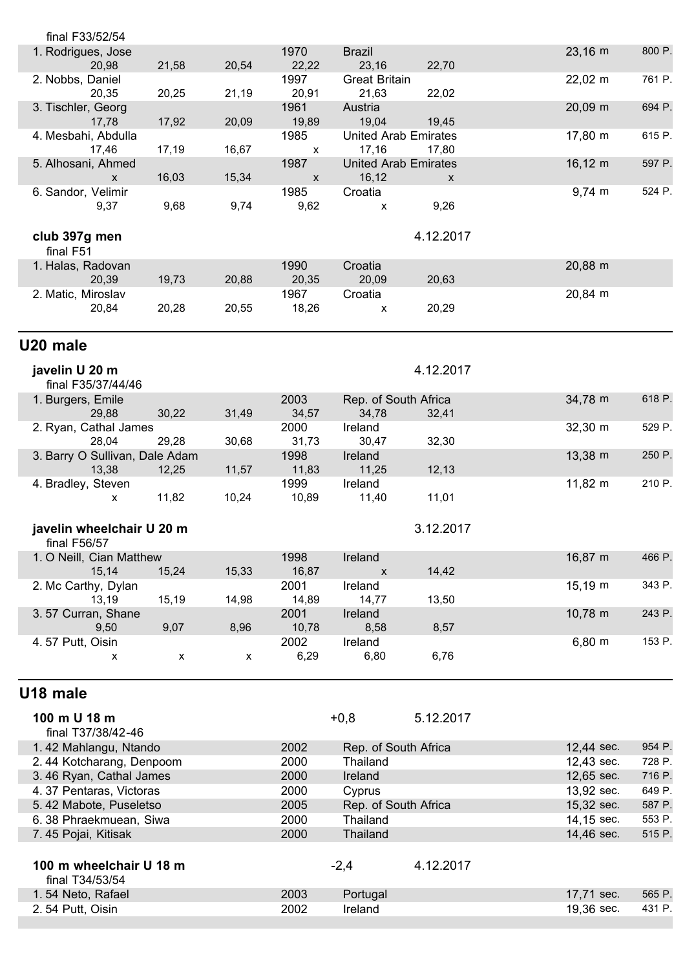| final F33/52/54                |       |       |                    |                             |                    |                     |        |
|--------------------------------|-------|-------|--------------------|-----------------------------|--------------------|---------------------|--------|
| 1. Rodrigues, Jose             |       |       | 1970               | <b>Brazil</b>               |                    | 23,16 m             | 800 P. |
| 20,98                          | 21,58 | 20,54 | 22,22              | 23,16                       | 22,70              |                     |        |
| 2. Nobbs, Daniel               |       |       | 1997               | <b>Great Britain</b>        |                    | $22,02 \, \text{m}$ | 761 P. |
| 20,35                          | 20,25 | 21,19 | 20,91              | 21,63                       | 22,02              |                     |        |
| 3. Tischler, Georg             |       |       | 1961               | Austria                     |                    | 20,09 m             | 694 P. |
| 17,78                          | 17,92 | 20,09 | 19,89              | 19,04                       | 19,45              |                     |        |
| 4. Mesbahi, Abdulla            |       |       | 1985               | <b>United Arab Emirates</b> |                    | 17,80 m             | 615 P. |
| 17,46                          | 17,19 | 16,67 | $\pmb{\mathsf{X}}$ | 17,16                       | 17,80              |                     |        |
| 5. Alhosani, Ahmed             |       |       | 1987               | <b>United Arab Emirates</b> |                    | $16, 12 \text{ m}$  | 597 P. |
| X                              | 16,03 | 15,34 | $\pmb{\mathsf{X}}$ | 16,12                       | $\pmb{\mathsf{X}}$ |                     |        |
| 6. Sandor, Velimir             |       |       | 1985               | Croatia                     |                    | 9,74 m              | 524 P. |
| 9,37                           | 9,68  | 9,74  | 9,62               | $\pmb{\mathsf{X}}$          | 9,26               |                     |        |
|                                |       |       |                    |                             |                    |                     |        |
| club 397g men                  |       |       |                    |                             | 4.12.2017          |                     |        |
| final F51                      |       |       |                    |                             |                    |                     |        |
| 1. Halas, Radovan              |       |       | 1990               | Croatia                     |                    | 20,88 m             |        |
| 20,39                          | 19,73 | 20,88 | 20,35              | 20,09                       | 20,63              |                     |        |
| 2. Matic, Miroslav             |       |       | 1967               | Croatia                     |                    | 20,84 m             |        |
| 20,84                          | 20,28 | 20,55 | 18,26              | X                           | 20,29              |                     |        |
|                                |       |       |                    |                             |                    |                     |        |
| U20 male                       |       |       |                    |                             |                    |                     |        |
|                                |       |       |                    |                             |                    |                     |        |
| javelin U 20 m                 |       |       |                    |                             | 4.12.2017          |                     |        |
| final F35/37/44/46             |       |       |                    |                             |                    |                     |        |
| 1. Burgers, Emile              |       |       | 2003               | Rep. of South Africa        |                    | 34,78 m             | 618 P. |
| 29,88                          | 30,22 | 31,49 | 34,57              | 34,78                       | 32,41              |                     |        |
| 2. Ryan, Cathal James          |       |       | 2000               | Ireland                     |                    | 32,30 m             | 529 P. |
| 28,04                          | 29,28 | 30,68 | 31,73              | 30,47                       | 32,30              |                     |        |
| 3. Barry O Sullivan, Dale Adam |       |       | 1998               | Ireland                     |                    | 13,38 m             | 250 P. |
| 13,38                          | 12,25 | 11,57 | 11,83              | 11,25                       | 12, 13             |                     |        |
| 4. Bradley, Steven             |       | 10,24 | 1999               | Ireland                     | 11,01              | 11,82 m             | 210 P. |
| X                              | 11,82 |       | 10,89              | 11,40                       |                    |                     |        |
|                                |       |       |                    |                             |                    |                     |        |
| javelin wheelchair U 20 m      |       |       |                    |                             | 3.12.2017          |                     |        |
| final F56/57                   |       |       |                    |                             |                    |                     |        |
| 1. O Neill, Cian Matthew       |       |       | 1998               | Ireland                     |                    | 16,87 m             | 466 P. |
| 15,14                          | 15,24 | 15,33 | 16,87              | X                           | 14,42              | $15,19 \; m$        | 343 P. |
| 2. Mc Carthy, Dylan            |       |       | 2001               | Ireland                     |                    |                     |        |
| 13,19<br>3.57 Curran, Shane    | 15,19 | 14,98 | 14,89<br>2001      | 14,77<br>Ireland            | 13,50              | 10,78 m             | 243 P. |
| 9,50                           | 9,07  | 8,96  | 10,78              | 8,58                        | 8,57               |                     |        |
| 4.57 Putt, Oisin               |       |       | 2002               | Ireland                     |                    | $6,80 \; m$         | 153 P. |
| x                              | X     | X     | 6,29               | 6,80                        | 6,76               |                     |        |
|                                |       |       |                    |                             |                    |                     |        |
|                                |       |       |                    |                             |                    |                     |        |
| U18 male                       |       |       |                    |                             |                    |                     |        |
| 100 m U 18 m                   |       |       |                    | $+0,8$                      | 5.12.2017          |                     |        |
| final T37/38/42-46             |       |       |                    |                             |                    |                     |        |
| 1.42 Mahlangu, Ntando          |       |       | 2002               | Rep. of South Africa        |                    | 12,44 sec.          | 954 P. |
| 2.44 Kotcharang, Denpoom       |       |       | 2000               | Thailand                    |                    | 12,43 sec.          | 728 P. |
| 3.46 Ryan, Cathal James        |       |       | 2000               | Ireland                     |                    | 12,65 sec.          | 716 P. |
| 4.37 Pentaras, Victoras        |       |       | 2000               | Cyprus                      |                    | 13,92 sec.          | 649 P. |
| 5.42 Mabote, Puseletso         |       |       | 2005               | Rep. of South Africa        |                    | 15,32 sec.          | 587 P. |
| 6.38 Phraekmuean, Siwa         |       |       | 2000               | Thailand                    |                    | 14,15 sec.          | 553 P. |
| 7.45 Pojai, Kitisak            |       |       | 2000               | Thailand                    |                    | 14,46 sec.          | 515 P. |
|                                |       |       |                    |                             |                    |                     |        |
| 100 m wheelchair U 18 m        |       |       |                    | $-2,4$                      | 4.12.2017          |                     |        |
| final T34/53/54                |       |       |                    |                             |                    |                     |        |
|                                |       |       |                    |                             |                    |                     |        |

1. 54 Neto, Rafael 2003 Portugal 17,71 sec. 565 P. 2. 54 Putt, Oisin 2002 Ireland 19,36 sec. 431 P.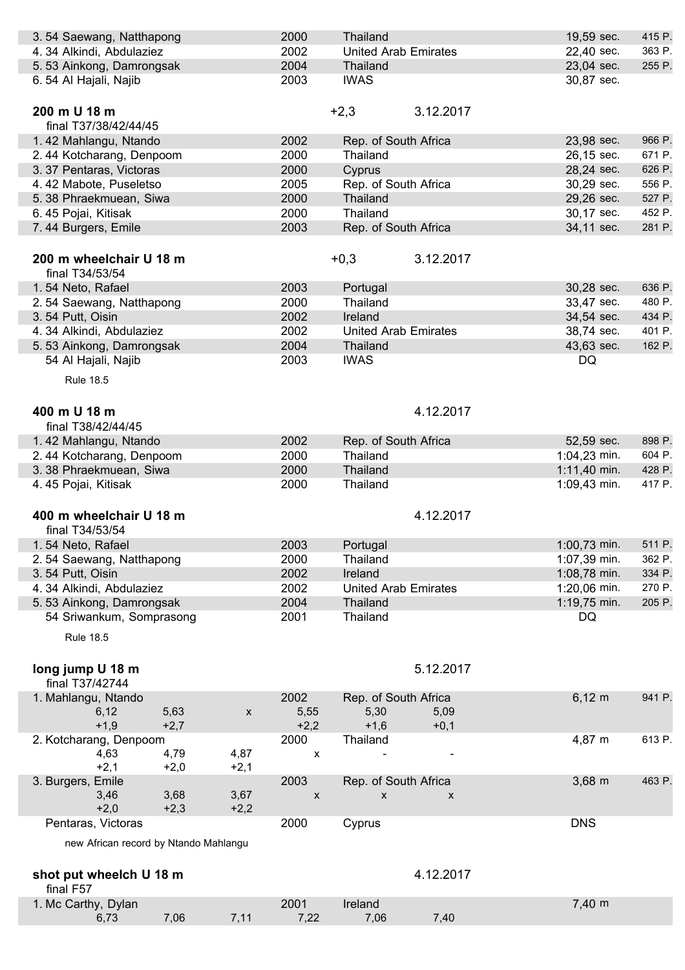| 3.54 Saewang, Natthapong              |                |                    | 2000               | Thailand                    |                    | 19,59 sec.         | 415 P. |
|---------------------------------------|----------------|--------------------|--------------------|-----------------------------|--------------------|--------------------|--------|
| 4.34 Alkindi, Abdulaziez              |                |                    | 2002               | <b>United Arab Emirates</b> |                    | 22,40 sec.         | 363 P. |
| 5.53 Ainkong, Damrongsak              |                |                    | 2004               | Thailand                    |                    | 23,04 sec.         | 255 P. |
| 6.54 Al Hajali, Najib                 |                |                    | 2003               | <b>IWAS</b>                 |                    | 30,87 sec.         |        |
|                                       |                |                    |                    |                             |                    |                    |        |
| 200 m U 18 m                          |                |                    |                    | $+2,3$                      | 3.12.2017          |                    |        |
| final T37/38/42/44/45                 |                |                    |                    |                             |                    |                    |        |
| 1.42 Mahlangu, Ntando                 |                |                    | 2002               | Rep. of South Africa        |                    | 23,98 sec.         | 966 P. |
| 2.44 Kotcharang, Denpoom              |                |                    | 2000               | Thailand                    |                    | 26,15 sec.         | 671 P. |
| 3.37 Pentaras, Victoras               |                |                    | 2000               | Cyprus                      |                    | 28,24 sec.         | 626 P. |
| 4.42 Mabote, Puseletso                |                |                    | 2005               | Rep. of South Africa        |                    | 30,29 sec.         | 556 P. |
| 5.38 Phraekmuean, Siwa                |                |                    | 2000               | Thailand                    |                    | 29,26 sec.         | 527 P. |
| 6.45 Pojai, Kitisak                   |                |                    | 2000               | Thailand                    |                    | 30,17 sec.         | 452 P. |
| 7.44 Burgers, Emile                   |                |                    | 2003               | Rep. of South Africa        |                    | 34,11 sec.         | 281 P. |
| 200 m wheelchair U 18 m               |                |                    |                    | $+0,3$                      | 3.12.2017          |                    |        |
| final T34/53/54                       |                |                    |                    |                             |                    |                    |        |
| 1.54 Neto, Rafael                     |                |                    | 2003               | Portugal                    |                    | 30,28 sec.         | 636 P. |
| 2.54 Saewang, Natthapong              |                |                    | 2000               | Thailand                    |                    | 33,47 sec.         | 480 P. |
| 3.54 Putt, Oisin                      |                |                    | 2002               | Ireland                     |                    | 34,54 sec.         | 434 P. |
| 4.34 Alkindi, Abdulaziez              |                |                    | 2002               | <b>United Arab Emirates</b> |                    | 38,74 sec.         | 401 P. |
| 5.53 Ainkong, Damrongsak              |                |                    | 2004               | Thailand                    |                    | 43,63 sec.         | 162 P. |
| 54 Al Hajali, Najib                   |                |                    | 2003               | <b>IWAS</b>                 |                    | DQ                 |        |
| <b>Rule 18.5</b>                      |                |                    |                    |                             |                    |                    |        |
|                                       |                |                    |                    |                             |                    |                    |        |
| 400 m U 18 m                          |                |                    |                    |                             | 4.12.2017          |                    |        |
| final T38/42/44/45                    |                |                    |                    |                             |                    |                    |        |
| 1.42 Mahlangu, Ntando                 |                |                    | 2002               | Rep. of South Africa        |                    | 52,59 sec.         | 898 P. |
| 2.44 Kotcharang, Denpoom              |                |                    | 2000               | Thailand                    |                    | $1:04,23$ min.     | 604 P. |
| 3.38 Phraekmuean, Siwa                |                |                    | 2000               | Thailand                    |                    | $1:11,40$ min.     | 428 P. |
| 4.45 Pojai, Kitisak                   |                |                    | 2000               | Thailand                    |                    | 1:09,43 min.       | 417 P. |
|                                       |                |                    |                    |                             |                    |                    |        |
| 400 m wheelchair U 18 m               |                |                    |                    |                             | 4.12.2017          |                    |        |
| final T34/53/54                       |                |                    |                    |                             |                    |                    |        |
| 1.54 Neto, Rafael                     |                |                    | 2003               | Portugal                    |                    | 1:00,73 min.       | 511 P. |
| 2.54 Saewang, Natthapong              |                |                    | 2000               | Thailand                    |                    | 1:07,39 min.       | 362 P. |
| 3.54 Putt, Oisin                      |                |                    | 2002               | Ireland                     |                    | 1:08,78 min.       | 334 P. |
| 4.34 Alkindi, Abdulaziez              |                |                    | 2002               | <b>United Arab Emirates</b> |                    | 1:20,06 min.       | 270 P. |
| 5.53 Ainkong, Damrongsak              |                |                    | 2004               | Thailand                    |                    | 1:19,75 min.       | 205 P. |
| 54 Sriwankum, Somprasong              |                |                    | 2001               | Thailand                    |                    | DQ                 |        |
| <b>Rule 18.5</b>                      |                |                    |                    |                             |                    |                    |        |
|                                       |                |                    |                    |                             |                    |                    |        |
| long jump U 18 m                      |                |                    |                    |                             | 5.12.2017          |                    |        |
| final T37/42744                       |                |                    |                    |                             |                    |                    |        |
| 1. Mahlangu, Ntando                   |                |                    | 2002               | Rep. of South Africa        |                    | $6,12 \; m$        | 941 P. |
| 6, 12<br>$+1,9$                       | 5,63<br>$+2,7$ | $\pmb{\mathsf{x}}$ | 5,55<br>$+2,2$     | 5,30<br>$+1,6$              | 5,09<br>$+0,1$     |                    |        |
| 2. Kotcharang, Denpoom                |                |                    | 2000               | Thailand                    |                    | 4,87 m             | 613 P. |
| 4,63                                  | 4,79           | 4,87               | X                  |                             |                    |                    |        |
| $+2,1$                                | $+2,0$         | $+2,1$             |                    |                             |                    |                    |        |
| 3. Burgers, Emile                     |                |                    | 2003               | Rep. of South Africa        |                    | $3,68 \, \text{m}$ | 463 P. |
| 3,46                                  | 3,68           | 3,67               | $\pmb{\mathsf{x}}$ | X                           | $\pmb{\mathsf{X}}$ |                    |        |
| $+2,0$                                | $+2,3$         | $+2,2$             |                    |                             |                    |                    |        |
| Pentaras, Victoras                    |                |                    | 2000               | Cyprus                      |                    | <b>DNS</b>         |        |
| new African record by Ntando Mahlangu |                |                    |                    |                             |                    |                    |        |
|                                       |                |                    |                    |                             |                    |                    |        |
| shot put wheelch U 18 m               |                |                    |                    |                             | 4.12.2017          |                    |        |
| final F57                             |                |                    |                    |                             |                    |                    |        |
| 1. Mc Carthy, Dylan                   |                |                    | 2001               | Ireland                     |                    | 7,40 m             |        |
| 6,73                                  | 7,06           | 7,11               | 7,22               | 7,06                        | 7,40               |                    |        |
|                                       |                |                    |                    |                             |                    |                    |        |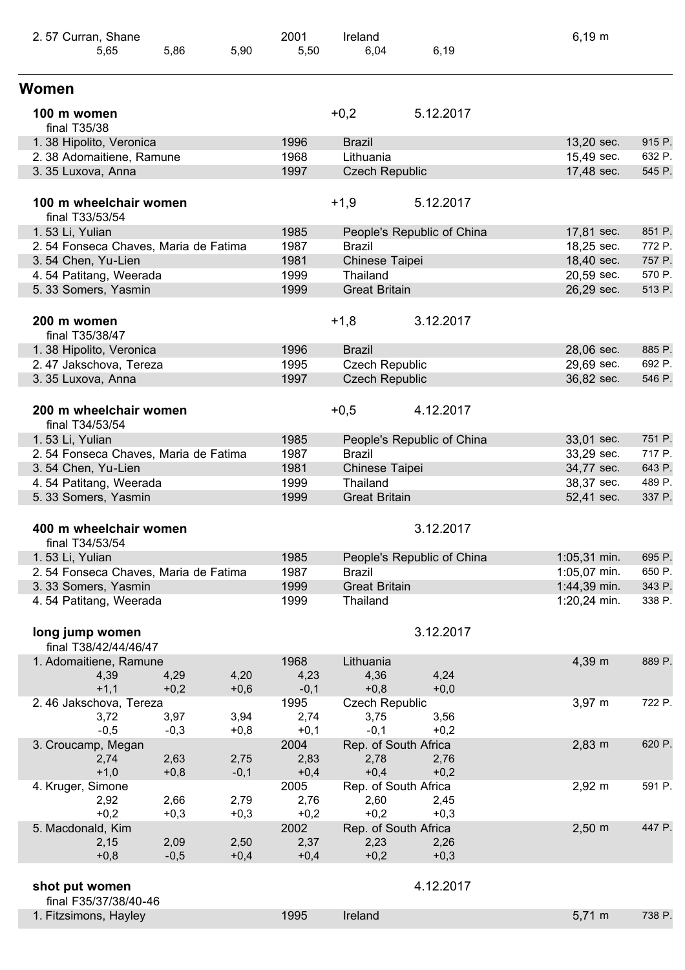| 2.57 Curran, Shane                        |                |                | 2001           | Ireland               |                            | $6,19 \; m$        |        |
|-------------------------------------------|----------------|----------------|----------------|-----------------------|----------------------------|--------------------|--------|
| 5,65                                      | 5,86           | 5,90           | 5,50           | 6,04                  | 6,19                       |                    |        |
| Women                                     |                |                |                |                       |                            |                    |        |
| 100 m women<br>final T35/38               |                |                |                | $+0,2$                | 5.12.2017                  |                    |        |
| 1.38 Hipolito, Veronica                   |                |                | 1996           | <b>Brazil</b>         |                            | 13,20 sec.         | 915 P. |
| 2.38 Adomaitiene, Ramune                  |                |                | 1968           | Lithuania             |                            | 15,49 sec.         | 632 P. |
| 3.35 Luxova, Anna                         |                |                | 1997           | <b>Czech Republic</b> |                            | 17,48 sec.         | 545 P. |
| 100 m wheelchair women<br>final T33/53/54 |                |                |                | $+1,9$                | 5.12.2017                  |                    |        |
| 1.53 Li, Yulian                           |                |                | 1985           |                       | People's Republic of China | 17,81 sec.         | 851 P. |
| 2.54 Fonseca Chaves, Maria de Fatima      |                |                | 1987           | <b>Brazil</b>         |                            | 18,25 sec.         | 772 P. |
| 3.54 Chen, Yu-Lien                        |                |                | 1981           | Chinese Taipei        |                            | 18,40 sec.         | 757 P. |
| 4.54 Patitang, Weerada                    |                |                | 1999           | Thailand              |                            | 20,59 sec.         | 570 P. |
| 5.33 Somers, Yasmin                       |                |                | 1999           | <b>Great Britain</b>  |                            | 26,29 sec.         | 513 P. |
| 200 m women<br>final T35/38/47            |                |                |                | $+1,8$                | 3.12.2017                  |                    |        |
| 1.38 Hipolito, Veronica                   |                |                | 1996           | <b>Brazil</b>         |                            | 28,06 sec.         | 885 P. |
| 2.47 Jakschova, Tereza                    |                |                | 1995           | <b>Czech Republic</b> |                            | 29,69 sec.         | 692 P. |
| 3.35 Luxova, Anna                         |                |                | 1997           | <b>Czech Republic</b> |                            | 36,82 sec.         | 546 P. |
| 200 m wheelchair women<br>final T34/53/54 |                |                |                | $+0,5$                | 4.12.2017                  |                    |        |
| 1.53 Li, Yulian                           |                |                | 1985           |                       | People's Republic of China | 33,01 sec.         | 751 P. |
| 2.54 Fonseca Chaves, Maria de Fatima      |                |                | 1987           | <b>Brazil</b>         |                            | 33,29 sec.         | 717 P. |
| 3.54 Chen, Yu-Lien                        |                |                | 1981           | Chinese Taipei        |                            | 34,77 sec.         | 643 P. |
| 4.54 Patitang, Weerada                    |                |                | 1999           | Thailand              |                            | 38,37 sec.         | 489 P. |
| 5.33 Somers, Yasmin                       |                |                | 1999           | <b>Great Britain</b>  |                            | 52,41 sec.         | 337 P. |
| 400 m wheelchair women<br>final T34/53/54 |                |                |                |                       | 3.12.2017                  |                    |        |
| 1.53 Li, Yulian                           |                |                | 1985           |                       | People's Republic of China | 1:05,31 min.       | 695 P. |
| 2.54 Fonseca Chaves, Maria de Fatima      |                |                | 1987           | <b>Brazil</b>         |                            | 1:05,07 min.       | 650 P. |
| 3.33 Somers, Yasmin                       |                |                | 1999           | <b>Great Britain</b>  |                            | 1:44,39 min.       | 343 P. |
| 4.54 Patitang, Weerada                    |                |                | 1999           | Thailand              |                            | 1:20,24 min.       | 338 P. |
| long jump women<br>final T38/42/44/46/47  |                |                |                |                       | 3.12.2017                  |                    |        |
| 1. Adomaitiene, Ramune                    |                |                | 1968           | Lithuania             |                            | 4,39 m             | 889 P. |
| 4,39                                      | 4,29           | 4,20           | 4,23           | 4,36                  | 4,24                       |                    |        |
| $+1,1$                                    | $+0,2$         | $+0,6$         | $-0,1$         | $+0,8$                | $+0,0$                     |                    |        |
| 2.46 Jakschova, Tereza                    |                |                | 1995           | <b>Czech Republic</b> |                            | $3,97 \; m$        | 722 P. |
| 3,72                                      | 3,97           | 3,94           | 2,74           | 3,75                  | 3,56                       |                    |        |
| $-0,5$                                    | $-0,3$         | $+0,8$         | $+0,1$         | $-0,1$                | $+0,2$                     |                    |        |
| 3. Croucamp, Megan                        |                |                | 2004           | Rep. of South Africa  |                            | $2,83 \, m$        | 620 P. |
| 2,74                                      | 2,63           | 2,75           | 2,83           | 2,78                  | 2,76                       |                    |        |
| $+1,0$                                    | $+0,8$         | $-0,1$         | $+0,4$         | $+0,4$                | $+0,2$                     |                    |        |
| 4. Kruger, Simone                         |                |                | 2005           | Rep. of South Africa  |                            | $2,92 \, m$        | 591 P. |
| 2,92                                      | 2,66           | 2,79           | 2,76           | 2,60                  | 2,45                       |                    |        |
| $+0,2$                                    | $+0,3$         | $+0,3$         | $+0,2$         | $+0,2$                | $+0,3$                     |                    |        |
| 5. Macdonald, Kim                         |                |                | 2002           | Rep. of South Africa  |                            | $2,50 \, \text{m}$ | 447 P. |
| 2,15<br>$+0,8$                            | 2,09<br>$-0,5$ | 2,50<br>$+0,4$ | 2,37<br>$+0,4$ | 2,23<br>$+0,2$        | 2,26<br>$+0,3$             |                    |        |
|                                           |                |                |                |                       |                            |                    |        |
| shot put women                            |                |                |                |                       | 4.12.2017                  |                    |        |
| final F35/37/38/40-46                     |                |                |                |                       |                            |                    |        |
| 1. Fitzsimons, Hayley                     |                |                | 1995           | Ireland               |                            | $5,71 \; m$        | 738 P. |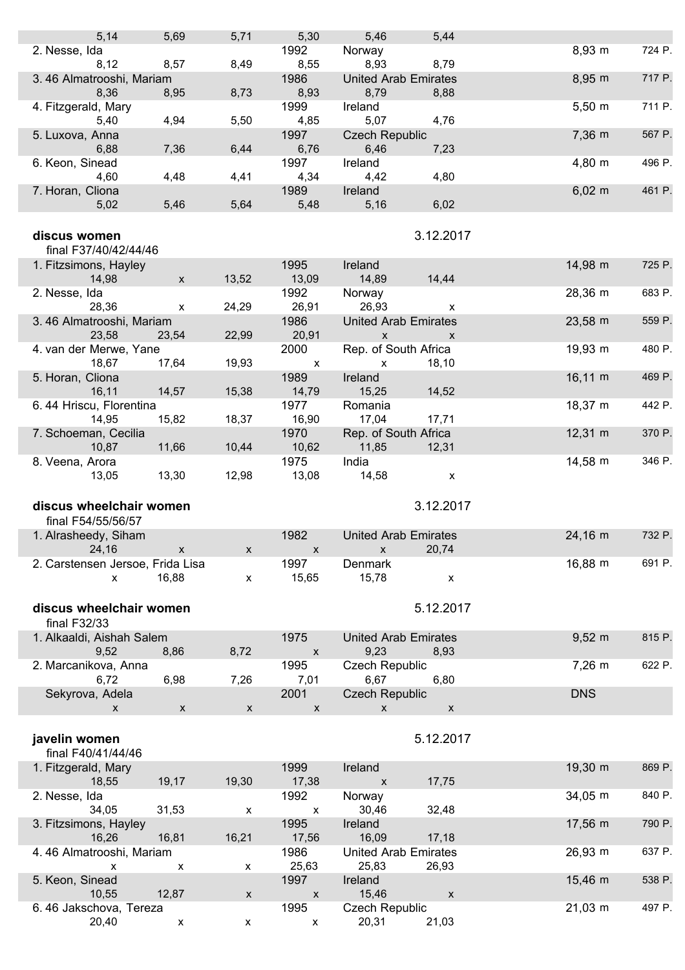| 5,14                              | 5,69                      | 5,71               | 5,30                       | 5,46                                | 5,44               |                     |        |
|-----------------------------------|---------------------------|--------------------|----------------------------|-------------------------------------|--------------------|---------------------|--------|
| 2. Nesse, Ida                     |                           |                    | 1992                       | Norway                              |                    | 8,93 m              | 724 P. |
| 8,12                              | 8,57                      | 8,49               | 8,55                       | 8,93                                | 8,79               |                     |        |
| 3.46 Almatrooshi, Mariam          |                           |                    | 1986                       | <b>United Arab Emirates</b>         |                    | 8,95 m              | 717 P. |
| 8,36<br>4. Fitzgerald, Mary       | 8,95                      | 8,73               | 8,93<br>1999               | 8,79<br>Ireland                     | 8,88               | $5,50 \; m$         | 711 P. |
| 5,40                              | 4,94                      | 5,50               | 4,85                       | 5,07                                | 4,76               |                     |        |
| 5. Luxova, Anna                   |                           |                    | 1997                       | <b>Czech Republic</b>               |                    | 7,36 m              | 567 P. |
| 6,88                              | 7,36                      | 6,44               | 6,76                       | 6,46                                | 7,23               |                     |        |
| 6. Keon, Sinead                   |                           |                    | 1997                       | Ireland                             |                    | 4,80 m              | 496 P. |
| 4,60                              | 4,48                      | 4,41               | 4,34                       | 4,42                                | 4,80               |                     | 461 P. |
| 7. Horan, Cliona<br>5,02          | 5,46                      | 5,64               | 1989<br>5,48               | Ireland<br>5,16                     | 6,02               | $6,02 \, m$         |        |
|                                   |                           |                    |                            |                                     |                    |                     |        |
| discus women                      |                           |                    |                            |                                     | 3.12.2017          |                     |        |
| final F37/40/42/44/46             |                           |                    |                            |                                     |                    |                     |        |
| 1. Fitzsimons, Hayley<br>14,98    | $\boldsymbol{\mathsf{x}}$ | 13,52              | 1995<br>13,09              | Ireland<br>14,89                    | 14,44              | 14,98 m             | 725 P. |
| 2. Nesse, Ida                     |                           |                    | 1992                       | Norway                              |                    | 28,36 m             | 683 P. |
| 28,36                             | X                         | 24,29              | 26,91                      | 26,93                               | X                  |                     |        |
| 3.46 Almatrooshi, Mariam          |                           |                    | 1986                       | <b>United Arab Emirates</b>         |                    | 23,58 m             | 559 P. |
| 23,58                             | 23,54                     | 22,99              | 20,91                      | $\pmb{\mathsf{X}}$                  | $\mathsf{x}$       |                     |        |
| 4. van der Merwe, Yane            |                           |                    | 2000                       | Rep. of South Africa                |                    | 19,93 m             | 480 P. |
| 18,67                             | 17,64                     | 19,93              | $\mathsf{X}$<br>1989       | $\mathsf{x}$                        | 18,10              | $16,11 \; m$        | 469 P. |
| 5. Horan, Cliona<br>16, 11        | 14,57                     | 15,38              | 14,79                      | Ireland<br>15,25                    | 14,52              |                     |        |
| 6.44 Hriscu, Florentina           |                           |                    | 1977                       | Romania                             |                    | $18,37 \; m$        | 442 P. |
| 14,95                             | 15,82                     | 18,37              | 16,90                      | 17,04                               | 17,71              |                     |        |
| 7. Schoeman, Cecilia              |                           |                    | 1970                       | Rep. of South Africa                |                    | $12,31 \; m$        | 370 P. |
| 10,87                             | 11,66                     | 10,44              | 10,62                      | 11,85                               | 12,31              |                     |        |
| 8. Veena, Arora                   | 13,30                     | 12,98              | 1975<br>13,08              | India<br>14,58                      |                    | $14,58 \; m$        | 346 P. |
|                                   |                           |                    |                            |                                     | X                  |                     |        |
| 13,05                             |                           |                    |                            |                                     |                    |                     |        |
|                                   |                           |                    |                            |                                     |                    |                     |        |
| discus wheelchair women           |                           |                    |                            |                                     | 3.12.2017          |                     |        |
| final F54/55/56/57                |                           |                    | 1982                       | <b>United Arab Emirates</b>         |                    |                     | 732 P. |
| 1. Alrasheedy, Siham<br>24,16     |                           | X                  | $\mathbf{X}$               | $x = 20,74$                         |                    | $24,16 \, \text{m}$ |        |
| 2. Carstensen Jersoe, Frida Lisa  |                           |                    | 1997                       | Denmark                             |                    | 16,88 m             | 691 P. |
| $\pmb{\mathsf{X}}$                | 16,88                     | $\pmb{\mathsf{X}}$ | 15,65                      | 15,78                               | $\pmb{\mathsf{X}}$ |                     |        |
|                                   |                           |                    |                            |                                     |                    |                     |        |
| discus wheelchair women           |                           |                    |                            |                                     | 5.12.2017          |                     |        |
| final F32/33                      |                           |                    |                            |                                     |                    |                     |        |
| 1. Alkaaldi, Aishah Salem<br>9,52 | 8,86                      | 8,72               | 1975                       | <b>United Arab Emirates</b><br>9,23 |                    | $9,52 \, m$         | 815 P. |
| 2. Marcanikova, Anna              |                           |                    | $\pmb{\mathsf{x}}$<br>1995 | <b>Czech Republic</b>               | 8,93               | $7,26 \, m$         | 622 P. |
| 6,72                              | 6,98                      | 7,26               | 7,01                       | 6,67                                | 6,80               |                     |        |
| Sekyrova, Adela                   |                           |                    | 2001                       | <b>Czech Republic</b>               |                    | <b>DNS</b>          |        |
| X                                 | X                         | $\pmb{\mathsf{X}}$ | $\mathsf{x}$               | $\mathsf{x}$                        | $\pmb{\mathsf{X}}$ |                     |        |
|                                   |                           |                    |                            |                                     |                    |                     |        |
| javelin women                     |                           |                    |                            |                                     | 5.12.2017          |                     |        |
| final F40/41/44/46                |                           |                    |                            |                                     |                    |                     |        |
| 1. Fitzgerald, Mary<br>18,55      | 19,17                     | 19,30              | 1999<br>17,38              | Ireland<br>$\pmb{\mathsf{X}}$       | 17,75              | 19,30 m             | 869 P. |
| 2. Nesse, Ida                     |                           |                    | 1992                       | Norway                              |                    | 34,05 m             | 840 P. |
| 34,05                             | 31,53                     | X                  | $\pmb{\mathsf{X}}$         | 30,46                               | 32,48              |                     |        |
| 3. Fitzsimons, Hayley             |                           |                    | 1995                       | Ireland                             |                    | 17,56 m             | 790 P. |
| 16,26                             | 16,81                     | 16,21              | 17,56                      | 16,09                               | 17,18              |                     |        |
| 4.46 Almatrooshi, Mariam<br>X     | X                         | x                  | 1986                       | <b>United Arab Emirates</b>         |                    | 26,93 m             | 637 P. |
| 5. Keon, Sinead                   |                           |                    | 25,63<br>1997              | 25,83<br>Ireland                    | 26,93              | $15,46 \; m$        | 538 P. |
| 10,55                             | 12,87                     | $\pmb{\mathsf{X}}$ | $\pmb{\mathsf{X}}$         | 15,46                               | $\pmb{\mathsf{X}}$ |                     |        |
| 6.46 Jakschova, Tereza<br>20,40   | X                         | X                  | 1995<br>X                  | <b>Czech Republic</b><br>20,31      | 21,03              | 21,03 m             | 497 P. |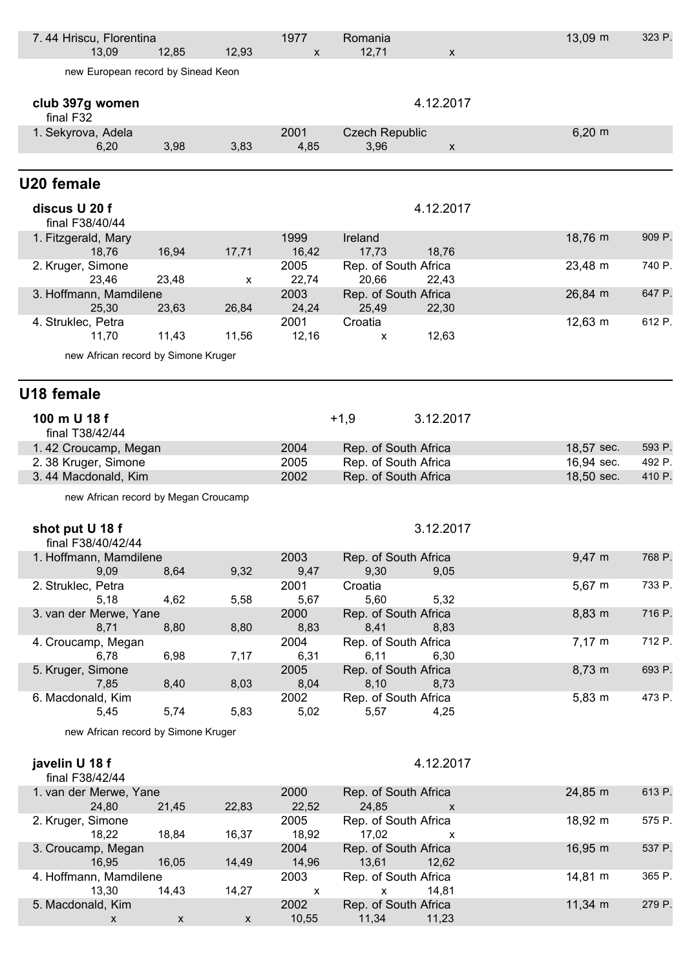| 7.44 Hriscu, Florentina<br>13,09        |                    |                           | 1977               | Romania<br>12,71              |                    | 13,09 m           | 323 P. |
|-----------------------------------------|--------------------|---------------------------|--------------------|-------------------------------|--------------------|-------------------|--------|
| new European record by Sinead Keon      | 12,85              | 12,93                     | $\pmb{\mathsf{x}}$ |                               | $\pmb{\mathsf{X}}$ |                   |        |
|                                         |                    |                           |                    |                               |                    |                   |        |
| club 397g women<br>final F32            |                    |                           |                    |                               | 4.12.2017          |                   |        |
| 1. Sekyrova, Adela                      |                    |                           | 2001               | <b>Czech Republic</b>         |                    | $6,20 \; m$       |        |
| 6,20                                    | 3,98               | 3,83                      | 4,85               | 3,96                          | X                  |                   |        |
| U20 female                              |                    |                           |                    |                               |                    |                   |        |
| discus U 20 f<br>final F38/40/44        |                    |                           |                    |                               | 4.12.2017          |                   |        |
| 1. Fitzgerald, Mary<br>18,76            | 16,94              | 17,71                     | 1999<br>16,42      | Ireland<br>17,73              | 18,76              | 18,76 m           | 909 P. |
| 2. Kruger, Simone                       |                    |                           | 2005               | Rep. of South Africa          |                    | 23,48 m           | 740 P. |
| 23,46                                   | 23,48              | х                         | 22,74              | 20,66                         | 22,43              |                   |        |
| 3. Hoffmann, Mamdilene<br>25,30         | 23,63              | 26,84                     | 2003<br>24,24      | Rep. of South Africa<br>25,49 | 22,30              | 26,84 m           | 647 P. |
| 4. Struklec, Petra                      |                    |                           | 2001               | Croatia                       |                    | 12,63 m           | 612 P. |
| 11,70                                   | 11,43              | 11,56                     | 12,16              | X                             | 12,63              |                   |        |
| new African record by Simone Kruger     |                    |                           |                    |                               |                    |                   |        |
| U18 female                              |                    |                           |                    |                               |                    |                   |        |
| 100 m U 18 f<br>final T38/42/44         |                    |                           |                    | $+1,9$                        | 3.12.2017          |                   |        |
| 1.42 Croucamp, Megan                    |                    |                           | 2004               | Rep. of South Africa          |                    | 18,57 sec.        | 593 P. |
| 2. 38 Kruger, Simone                    |                    |                           | 2005               | Rep. of South Africa          |                    | 16,94 sec.        | 492 P. |
| 3.44 Macdonald, Kim                     |                    |                           | 2002               | Rep. of South Africa          |                    | 18,50 sec.        | 410 P. |
| new African record by Megan Croucamp    |                    |                           |                    |                               |                    |                   |        |
| shot put U 18 f<br>final F38/40/42/44   |                    |                           |                    |                               | 3.12.2017          |                   |        |
| 1. Hoffmann, Mamdilene                  |                    |                           | 2003               | Rep. of South Africa          |                    | 9,47 m            | 768 P. |
| 9,09                                    | 8,64               | 9,32                      | 9,47               | 9,30                          | 9,05               |                   |        |
| 2. Struklec, Petra<br>5,18              | 4,62               | 5,58                      | 2001<br>5,67       | Croatia<br>5,60               | 5,32               | $5,67 \; m$       | 733 P. |
| 3. van der Merwe, Yane                  |                    |                           | 2000               | Rep. of South Africa          |                    | 8,83 m            | 716 P. |
| 8,71                                    | 8,80               | 8,80                      | 8,83               | 8,41                          | 8,83               |                   |        |
| 4. Croucamp, Megan<br>6,78              | 6,98               | 7,17                      | 2004<br>6,31       | Rep. of South Africa<br>6,11  | 6,30               | $7,17 \; m$       | 712 P. |
| 5. Kruger, Simone                       |                    |                           | 2005               | Rep. of South Africa          |                    | 8,73 m            | 693 P. |
| 7,85                                    | 8,40               | 8,03                      | 8,04<br>2002       | 8,10<br>Rep. of South Africa  | 8,73               | $5,83 \; m$       | 473 P. |
| 6. Macdonald, Kim<br>5,45               | 5,74               | 5,83                      | 5,02               | 5,57                          | 4,25               |                   |        |
| new African record by Simone Kruger     |                    |                           |                    |                               |                    |                   |        |
|                                         |                    |                           |                    |                               |                    |                   |        |
| javelin U 18 f<br>final F38/42/44       |                    |                           |                    |                               | 4.12.2017          |                   |        |
| 1. van der Merwe, Yane<br>24,80         | 21,45              | 22,83                     | 2000<br>22,52      | Rep. of South Africa<br>24,85 | X                  | 24,85 m           | 613 P. |
| 2. Kruger, Simone<br>18,22              | 18,84              | 16,37                     | 2005<br>18,92      | Rep. of South Africa<br>17,02 | x                  | 18,92 m           | 575 P. |
| 3. Croucamp, Megan<br>16,95             | 16,05              | 14,49                     | 2004<br>14,96      | Rep. of South Africa<br>13,61 | 12,62              | 16,95 m           | 537 P. |
| 4. Hoffmann, Mamdilene                  |                    |                           | 2003               | Rep. of South Africa          |                    | 14,81 m           | 365 P. |
| 13,30                                   | 14,43              | 14,27                     | $\pmb{\mathsf{X}}$ | X                             | 14,81              |                   |        |
| 5. Macdonald, Kim<br>$\pmb{\mathsf{X}}$ | $\pmb{\mathsf{X}}$ | $\boldsymbol{\mathsf{X}}$ | 2002<br>10,55      | Rep. of South Africa<br>11,34 | 11,23              | $11,34 \text{ m}$ | 279 P. |